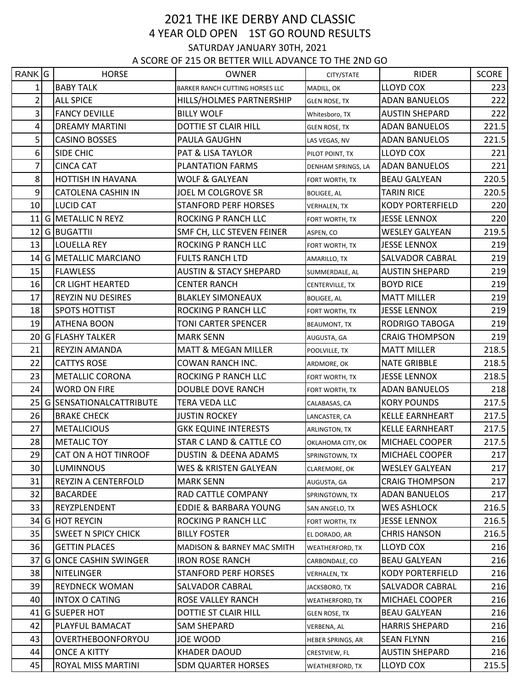## 2021 THE IKE DERBY AND CLASSIC 4 YEAR OLD OPEN 1ST GO ROUND RESULTS SATURDAY JANUARY 30TH, 2021 A SCORE OF 215 OR BETTER WILL ADVANCE TO THE 2ND GO

| RANK G                  | <b>HORSE</b>                 | <b>OWNER</b>                          | CITY/STATE             | <b>RIDER</b>            | SCORE |
|-------------------------|------------------------------|---------------------------------------|------------------------|-------------------------|-------|
|                         | <b>BABY TALK</b>             | BARKER RANCH CUTTING HORSES LLC       | MADILL, OK             | LLOYD COX               | 223   |
| $\overline{2}$          | <b>ALL SPICE</b>             | HILLS/HOLMES PARTNERSHIP              | <b>GLEN ROSE, TX</b>   | <b>ADAN BANUELOS</b>    | 222   |
| $\overline{\mathbf{3}}$ | <b>FANCY DEVILLE</b>         | <b>BILLY WOLF</b>                     | Whitesboro, TX         | <b>AUSTIN SHEPARD</b>   | 222   |
| 4                       | <b>DREAMY MARTINI</b>        | DOTTIE ST CLAIR HILL                  | <b>GLEN ROSE, TX</b>   | <b>ADAN BANUELOS</b>    | 221.5 |
| 5 <sup>1</sup>          | <b>CASINO BOSSES</b>         | PAULA GAUGHN                          | LAS VEGAS, NV          | <b>ADAN BANUELOS</b>    | 221.5 |
| 6 <sup>1</sup>          | SIDE CHIC                    | PAT & LISA TAYLOR                     | PILOT POINT, TX        | <b>LLOYD COX</b>        | 221   |
| 7                       | <b>CINCA CAT</b>             | PLANTATION FARMS                      | DENHAM SPRINGS, LA     | <b>ADAN BANUELOS</b>    | 221   |
| 8 <sup>1</sup>          | HOTTISH IN HAVANA            | <b>WOLF &amp; GALYEAN</b>             | FORT WORTH, TX         | <b>BEAU GALYEAN</b>     | 220.5 |
| $\overline{9}$          | <b>CATOLENA CASHIN IN</b>    | JOEL M COLGROVE SR                    | <b>BOLIGEE, AL</b>     | <b>TARIN RICE</b>       | 220.5 |
| 10                      | <b>LUCID CAT</b>             | <b>STANFORD PERF HORSES</b>           | <b>VERHALEN, TX</b>    | <b>KODY PORTERFIELD</b> | 220   |
| 11                      | <b>G METALLIC N REYZ</b>     | ROCKING P RANCH LLC                   | FORT WORTH, TX         | <b>JESSE LENNOX</b>     | 220   |
|                         | 12 G BUGATTII                | SMF CH, LLC STEVEN FEINER             | ASPEN, CO              | WESLEY GALYEAN          | 219.5 |
| 13                      | LOUELLA REY                  | ROCKING P RANCH LLC                   | FORT WORTH, TX         | <b>JESSE LENNOX</b>     | 219   |
|                         | 14 G METALLIC MARCIANO       | <b>FULTS RANCH LTD</b>                | AMARILLO, TX           | SALVADOR CABRAL         | 219   |
| 15                      | <b>FLAWLESS</b>              | <b>AUSTIN &amp; STACY SHEPARD</b>     | SUMMERDALE, AL         | <b>AUSTIN SHEPARD</b>   | 219   |
| 16                      | CR LIGHT HEARTED             | <b>CENTER RANCH</b>                   | CENTERVILLE, TX        | <b>BOYD RICE</b>        | 219   |
| 17                      | <b>REYZIN NU DESIRES</b>     | <b>BLAKLEY SIMONEAUX</b>              | <b>BOLIGEE, AL</b>     | <b>MATT MILLER</b>      | 219   |
| 18                      | <b>SPOTS HOTTIST</b>         | ROCKING P RANCH LLC                   | FORT WORTH, TX         | <b>JESSE LENNOX</b>     | 219   |
| 19                      | <b>ATHENA BOON</b>           | TONI CARTER SPENCER                   | <b>BEAUMONT, TX</b>    | RODRIGO TABOGA          | 219   |
|                         | 20 G FLASHY TALKER           | <b>MARK SENN</b>                      | AUGUSTA, GA            | <b>CRAIG THOMPSON</b>   | 219   |
| 21                      | REYZIN AMANDA                | <b>MATT &amp; MEGAN MILLER</b>        | POOLVILLE, TX          | <b>MATT MILLER</b>      | 218.5 |
| 22                      | <b>CATTYS ROSE</b>           | COWAN RANCH INC.                      | ARDMORE, OK            | NATE GRIBBLE            | 218.5 |
| 23                      | <b>METALLIC CORONA</b>       | ROCKING P RANCH LLC                   | FORT WORTH, TX         | <b>JESSE LENNOX</b>     | 218.5 |
| 24                      | <b>WORD ON FIRE</b>          | DOUBLE DOVE RANCH                     | FORT WORTH, TX         | ADAN BANUELOS           | 218   |
| 25                      | G SENSATIONALCATTRIBUTE      | TERA VEDA LLC                         | CALABASAS, CA          | <b>KORY POUNDS</b>      | 217.5 |
| 26                      | <b>BRAKE CHECK</b>           | <b>JUSTIN ROCKEY</b>                  | LANCASTER, CA          | <b>KELLE EARNHEART</b>  | 217.5 |
| 27                      | <b>METALICIOUS</b>           | <b>GKK EQUINE INTERESTS</b>           | <b>ARLINGTON, TX</b>   | <b>KELLE EARNHEART</b>  | 217.5 |
| 28                      | <b>METALIC TOY</b>           | STAR C LAND & CATTLE CO               | OKLAHOMA CITY, OK      | MICHAEL COOPER          | 217.5 |
| 29                      | CAT ON A HOT TINROOF         | DUSTIN & DEENA ADAMS                  | SPRINGTOWN, TX         | MICHAEL COOPER          | 217   |
| 30                      | LUMINNOUS                    | WES & KRISTEN GALYEAN                 | CLAREMORE, OK          | WESLEY GALYEAN          | 217   |
| 31                      | REYZIN A CENTERFOLD          | <b>MARK SENN</b>                      | AUGUSTA, GA            | <b>CRAIG THOMPSON</b>   | 217   |
| 32                      | <b>BACARDEE</b>              | RAD CATTLE COMPANY                    | SPRINGTOWN, TX         | <b>ADAN BANUELOS</b>    | 217   |
| 33                      | REYZPLENDENT                 | EDDIE & BARBARA YOUNG                 | SAN ANGELO, TX         | <b>WES ASHLOCK</b>      | 216.5 |
|                         | 34 G HOT REYCIN              | ROCKING P RANCH LLC                   | FORT WORTH, TX         | <b>JESSE LENNOX</b>     | 216.5 |
| 35                      | <b>SWEET N SPICY CHICK</b>   | <b>BILLY FOSTER</b>                   | EL DORADO, AR          | <b>CHRIS HANSON</b>     | 216.5 |
| 36                      | <b>GETTIN PLACES</b>         | <b>MADISON &amp; BARNEY MAC SMITH</b> | <b>WEATHERFORD, TX</b> | LLOYD COX               | 216   |
| 37                      | <b>G ONCE CASHIN SWINGER</b> | <b>IRON ROSE RANCH</b>                | CARBONDALE, CO         | <b>BEAU GALYEAN</b>     | 216   |
| 38                      | <b>NITELINGER</b>            | <b>STANFORD PERF HORSES</b>           | <b>VERHALEN, TX</b>    | KODY PORTERFIELD        | 216   |
| 39                      | <b>REYDNECK WOMAN</b>        | SALVADOR CABRAL                       | JACKSBORO, TX          | SALVADOR CABRAL         | 216   |
| 40                      | INTOX O CATING               | ROSE VALLEY RANCH                     | WEATHERFORD, TX        | MICHAEL COOPER          | 216   |
| 41                      | <b>GISUEPER HOT</b>          | DOTTIE ST CLAIR HILL                  | <b>GLEN ROSE, TX</b>   | <b>BEAU GALYEAN</b>     | 216   |
| 42                      | PLAYFUL BAMACAT              | SAM SHEPARD                           | VERBENA, AL            | <b>HARRIS SHEPARD</b>   | 216   |
| 43                      | OVERTHEBOONFORYOU            | JOE WOOD                              | HEBER SPRINGS, AR      | <b>SEAN FLYNN</b>       | 216   |
| 44                      | <b>ONCE A KITTY</b>          | <b>KHADER DAOUD</b>                   | CRESTVIEW, FL          | <b>AUSTIN SHEPARD</b>   | 216   |
| 45                      | ROYAL MISS MARTINI           | <b>SDM QUARTER HORSES</b>             | WEATHERFORD, TX        | LLOYD COX               | 215.5 |